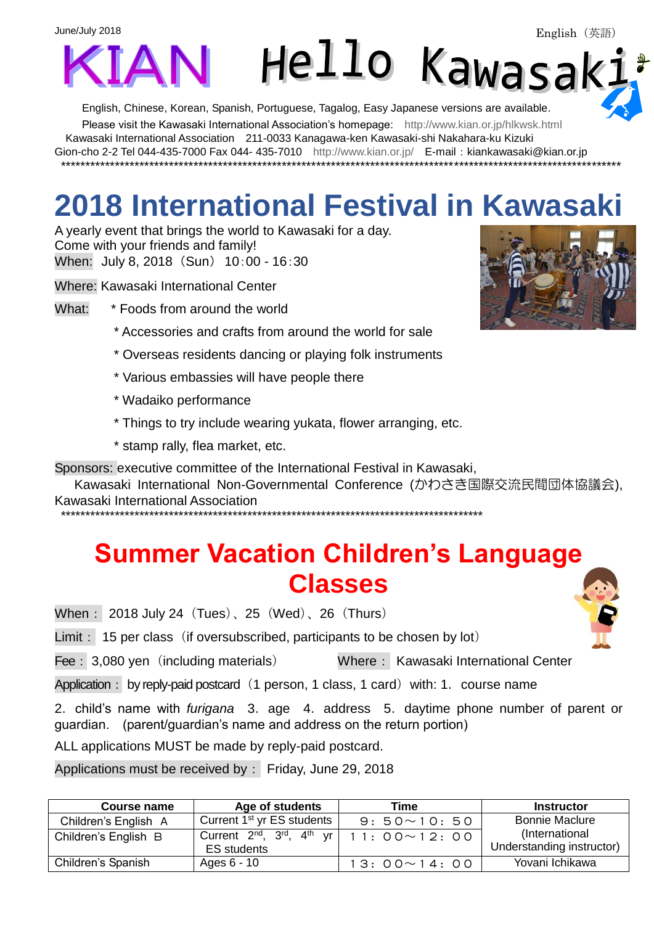

English, Chinese, Korean, Spanish, Portuguese, Tagalog, Easy Japanese versions are available.

Please visit the Kawasaki International Association's homepage: <http://www.kian.or.jp/hlkwsk.html>

Kawasaki International Association 211-0033 Kanagawa-ken Kawasaki-shi Nakahara-ku Kizuki

Gion-cho 2-2 Tel 044-435-7000 Fax 044- 435-7010 <http://www.kian.or.jp/>E-mail:kiankawasaki@kian.or.jp \*\*\*\*\*\*\*\*\*\*\*\*\*\*\*\*\*\*\*\*\*\*\*\*\*\*\*\*\*\*\*\*\*\*\*\*\*\*\*\*\*\*\*\*\*\*\*\*\*\*\*\*\*\*\*\*\*\*\*\*\*\*\*\*\*\*\*\*\*\*\*\*\*\*\*\*\*\*\*\*\*\*\*\*\*\*\*\*\*\*\*\*\*\*\*\*\*\*\*\*\*\*\*\*\*\*\*\*\*\*\*\*\*\*

## **2018 International Festival in Kawasaki**

A yearly event that brings the world to Kawasaki for a day. Come with your friends and family! When: July 8, 2018 (Sun) 10:00 - 16:30

Where: Kawasaki International Center

What: \* Foods from around the world

- \* Accessories and crafts from around the world for sale
- \* Overseas residents dancing or playing folk instruments
- \* Various embassies will have people there
- \* Wadaiko performance
- \* Things to try include wearing yukata, flower arranging, etc.
- \* stamp rally, flea market, etc.

Sponsors: executive committee of the International Festival in Kawasaki,

Kawasaki International Non-Governmental Conference (かわさき国際交流民間団体協議会), Kawasaki International Association

\*\*\*\*\*\*\*\*\*\*\*\*\*\*\*\*\*\*\*\*\*\*\*\*\*\*\*\*\*\*\*\*\*\*\*\*\*\*\*\*\*\*\*\*\*\*\*\*\*\*\*\*\*\*\*\*\*\*\*\*\*\*\*\*\*\*\*\*\*\*\*\*\*\*\*\*\*\*\*\*\*\*\*\*\*\*

## **Summer Vacation Children's Language Classes**

When: 2018 July 24 (Tues)、25 (Wed)、26 (Thurs)

Limit: 15 per class (if oversubscribed, participants to be chosen by lot)

Fee: 3,080 yen (including materials) Where: Kawasaki International Center

Application: by reply-paid postcard (1 person, 1 class, 1 card) with: 1. course name

2. child's name with *furigana* 3. age 4. address 5. daytime phone number of parent or guardian. (parent/guardian's name and address on the return portion)

ALL applications MUST be made by reply-paid postcard.

Applications must be received by: Friday, June 29, 2018

| Course name          | Age of students                           | Time               | <b>Instructor</b>         |
|----------------------|-------------------------------------------|--------------------|---------------------------|
| Children's English A | Current 1 <sup>st</sup> yr ES students    | $9:50 \sim 10:50$  | <b>Bonnie Maclure</b>     |
| Children's English B | Current $2^{nd}$ , $3^{rd}$ , $4^{th}$ vr | $11:00 \sim 12:00$ | (International            |
|                      | <b>ES</b> students                        |                    | Understanding instructor) |
| Children's Spanish   | Ages 6 - 10                               | $13:00 \sim 14:00$ | Yovani Ichikawa           |